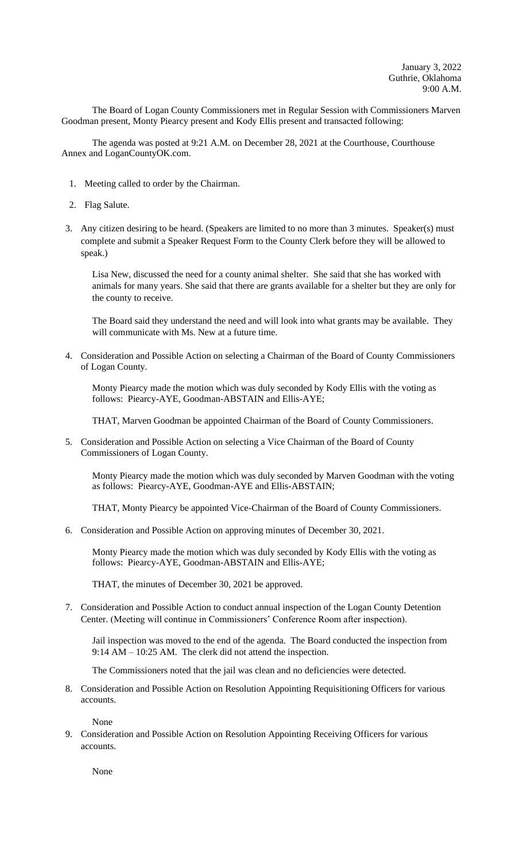The Board of Logan County Commissioners met in Regular Session with Commissioners Marven Goodman present, Monty Piearcy present and Kody Ellis present and transacted following:

The agenda was posted at 9:21 A.M. on December 28, 2021 at the Courthouse, Courthouse Annex and LoganCountyOK.com.

- 1. Meeting called to order by the Chairman.
- 2. Flag Salute.
- 3. Any citizen desiring to be heard. (Speakers are limited to no more than 3 minutes. Speaker(s) must complete and submit a Speaker Request Form to the County Clerk before they will be allowed to speak.)

Lisa New, discussed the need for a county animal shelter. She said that she has worked with animals for many years. She said that there are grants available for a shelter but they are only for the county to receive.

The Board said they understand the need and will look into what grants may be available. They will communicate with Ms. New at a future time.

4. Consideration and Possible Action on selecting a Chairman of the Board of County Commissioners of Logan County.

Monty Piearcy made the motion which was duly seconded by Kody Ellis with the voting as follows: Piearcy-AYE, Goodman-ABSTAIN and Ellis-AYE;

THAT, Marven Goodman be appointed Chairman of the Board of County Commissioners.

5. Consideration and Possible Action on selecting a Vice Chairman of the Board of County Commissioners of Logan County.

Monty Piearcy made the motion which was duly seconded by Marven Goodman with the voting as follows: Piearcy-AYE, Goodman-AYE and Ellis-ABSTAIN;

THAT, Monty Piearcy be appointed Vice-Chairman of the Board of County Commissioners.

6. Consideration and Possible Action on approving minutes of December 30, 2021.

Monty Piearcy made the motion which was duly seconded by Kody Ellis with the voting as follows: Piearcy-AYE, Goodman-ABSTAIN and Ellis-AYE;

THAT, the minutes of December 30, 2021 be approved.

7. Consideration and Possible Action to conduct annual inspection of the Logan County Detention Center. (Meeting will continue in Commissioners' Conference Room after inspection).

Jail inspection was moved to the end of the agenda. The Board conducted the inspection from 9:14 AM – 10:25 AM. The clerk did not attend the inspection.

The Commissioners noted that the jail was clean and no deficiencies were detected.

8. Consideration and Possible Action on Resolution Appointing Requisitioning Officers for various accounts.

None

9. Consideration and Possible Action on Resolution Appointing Receiving Officers for various accounts.

None